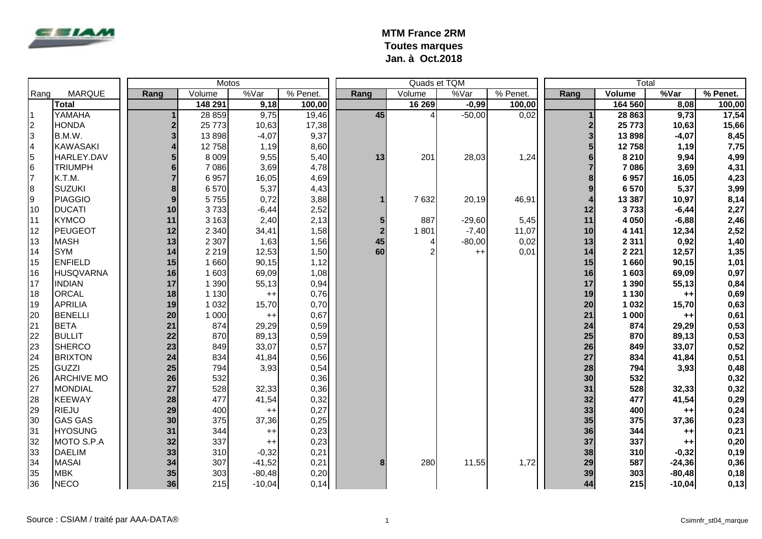

|                |                   |      |               | Motos    |          |                |                | Quads et TQM |          | Total                   |         |          |          |  |
|----------------|-------------------|------|---------------|----------|----------|----------------|----------------|--------------|----------|-------------------------|---------|----------|----------|--|
| Rang           | <b>MARQUE</b>     | Rang | Volume        | %Var     | % Penet. | Rang           | Volume         | %Var         | % Penet. | Rang                    | Volume  | %Var     | % Penet. |  |
|                | <b>Total</b>      |      | 148 291       | 9,18     | 100,00   |                | 16 269         | $-0,99$      | 100,00   |                         | 164 560 | 8,08     | 100,00   |  |
| l 1            | YAMAHA            |      | 28 859        | 9,75     | 19,46    | 45             | $\overline{4}$ | $-50,00$     | 0,02     |                         | 28 863  | 9,73     | 17,54    |  |
| $\overline{2}$ | <b>HONDA</b>      |      | 25 7 7 3      | 10,63    | 17,38    |                |                |              |          | $\boldsymbol{2}$        | 25 773  | 10,63    | 15,66    |  |
| 3              | B.M.W.            |      | 13 898        | $-4,07$  | 9,37     |                |                |              |          | $\overline{\mathbf{3}}$ | 13898   | $-4,07$  | 8,45     |  |
| $\overline{4}$ | <b>KAWASAKI</b>   |      | 12758         | 1,19     | 8,60     |                |                |              |          | $5\phantom{1}$          | 12758   | 1,19     | 7,75     |  |
| 5              | HARLEY.DAV        |      | 8 0 0 9       | 9,55     | 5,40     | 13             | 201            | 28,03        | 1,24     | $6\phantom{1}$          | 8 2 1 0 | 9,94     | 4,99     |  |
| 6              | <b>TRIUMPH</b>    |      | 7 0 8 6       | 3,69     | 4,78     |                |                |              |          | $\overline{7}$          | 7 0 8 6 | 3,69     | 4,31     |  |
| 17             | K.T.M.            |      | 6957          | 16,05    | 4,69     |                |                |              |          | 8                       | 6957    | 16,05    | 4,23     |  |
| 8              | <b>SUZUKI</b>     |      | 6570          | 5,37     | 4,43     |                |                |              |          | 9                       | 6 570   | 5,37     | 3,99     |  |
| Ι9             | <b>PIAGGIO</b>    |      | 5755          | 0,72     | 3,88     |                | 7632           | 20,19        | 46,91    | $\boldsymbol{4}$        | 13 3 87 | 10,97    | 8,14     |  |
| 10             | <b>DUCATI</b>     |      | 3733<br>10    | $-6,44$  | 2,52     |                |                |              |          | 12                      | 3733    | $-6,44$  | 2,27     |  |
| 11             | <b>KYMCO</b>      |      | 11<br>3 1 6 3 | 2,40     | 2,13     | 5              | 887            | $-29,60$     | 5,45     | 11                      | 4 0 5 0 | $-6,88$  | 2,46     |  |
| 12             | <b>PEUGEOT</b>    |      | 12<br>2 3 4 0 | 34,41    | 1,58     | $\overline{2}$ | 1801           | $-7,40$      | 11,07    | 10                      | 4 1 4 1 | 12,34    | 2,52     |  |
| 13             | <b>MASH</b>       |      | 13<br>2 3 0 7 | 1,63     | 1,56     | 45             | 4              | $-80,00$     | 0,02     | 13                      | 2 3 1 1 | 0,92     | 1,40     |  |
| 14             | <b>SYM</b>        |      | 14<br>2 2 1 9 | 12,53    | 1,50     | 60             | $\overline{2}$ | $++$         | 0,01     | 14                      | 2 2 2 1 | 12,57    | 1,35     |  |
| 15             | <b>ENFIELD</b>    |      | 15<br>1660    | 90,15    | 1,12     |                |                |              |          | 15                      | 1660    | 90,15    | 1,01     |  |
| 16             | <b>HUSQVARNA</b>  |      | 16<br>1 603   | 69,09    | 1,08     |                |                |              |          | 16                      | 1 603   | 69,09    | 0,97     |  |
| 17             | <b>INDIAN</b>     |      | 17<br>1 3 9 0 | 55,13    | 0,94     |                |                |              |          | 17                      | 1 3 9 0 | 55,13    | 0,84     |  |
| 18             | <b>ORCAL</b>      |      | 18<br>1 1 3 0 | $++$     | 0,76     |                |                |              |          | 19                      | 1 1 3 0 | $++$     | 0,69     |  |
| 19             | <b>APRILIA</b>    |      | 19<br>1 0 3 2 | 15,70    | 0,70     |                |                |              |          | 20                      | 1 0 3 2 | 15,70    | 0,63     |  |
| 20             | <b>BENELLI</b>    |      | 20<br>1 0 0 0 | $++$     | 0,67     |                |                |              |          | 21                      | 1 000   | $++$     | 0,61     |  |
| 21             | <b>BETA</b>       |      | 21<br>874     | 29,29    | 0,59     |                |                |              |          | 24                      | 874     | 29,29    | 0,53     |  |
| 22             | <b>BULLIT</b>     |      | 22<br>870     | 89,13    | 0,59     |                |                |              |          | 25                      | 870     | 89,13    | 0,53     |  |
| 23             | <b>SHERCO</b>     |      | 23<br>849     | 33,07    | 0,57     |                |                |              |          | 26                      | 849     | 33,07    | 0,52     |  |
| 24             | <b>BRIXTON</b>    |      | 24<br>834     | 41,84    | 0,56     |                |                |              |          | 27                      | 834     | 41,84    | 0,51     |  |
| 25             | GUZZI             |      | 25<br>794     | 3,93     | 0,54     |                |                |              |          | 28                      | 794     | 3,93     | 0,48     |  |
| 26             | <b>ARCHIVE MO</b> |      | 26<br>532     |          | 0,36     |                |                |              |          | 30                      | 532     |          | 0,32     |  |
| 27             | <b>MONDIAL</b>    |      | 27<br>528     | 32,33    | 0,36     |                |                |              |          | 31                      | 528     | 32,33    | 0,32     |  |
| 28             | <b>KEEWAY</b>     |      | 28<br>477     | 41,54    | 0,32     |                |                |              |          | 32                      | 477     | 41,54    | 0,29     |  |
| 29             | <b>RIEJU</b>      |      | 29<br>400     | $++$     | 0,27     |                |                |              |          | 33                      | 400     | $++$     | 0,24     |  |
| 30             | <b>GAS GAS</b>    |      | 30<br>375     | 37,36    | 0,25     |                |                |              |          | 35                      | 375     | 37,36    | 0,23     |  |
| 31             | <b>HYOSUNG</b>    |      | 31<br>344     | $++$     | 0,23     |                |                |              |          | 36                      | 344     | $++$     | 0,21     |  |
| 32             | MOTO S.P.A        |      | 32<br>337     | $^{++}$  | 0,23     |                |                |              |          | 37                      | 337     | $++$     | 0,20     |  |
| 33             | <b>DAELIM</b>     |      | 33<br>310     | $-0,32$  | 0,21     |                |                |              |          | 38                      | 310     | $-0,32$  | 0,19     |  |
| 34             | <b>MASAI</b>      |      | 34<br>307     | $-41,52$ | 0,21     | 8              | 280            | 11,55        | 1,72     | 29                      | 587     | $-24,36$ | 0,36     |  |
| 35             | <b>MBK</b>        |      | 35<br>303     | $-80,48$ | 0,20     |                |                |              |          | 39                      | 303     | $-80,48$ | 0,18     |  |
| 36             | <b>NECO</b>       |      | 36<br>215     | $-10,04$ | 0,14     |                |                |              |          | 44                      | 215     | $-10,04$ | 0,13     |  |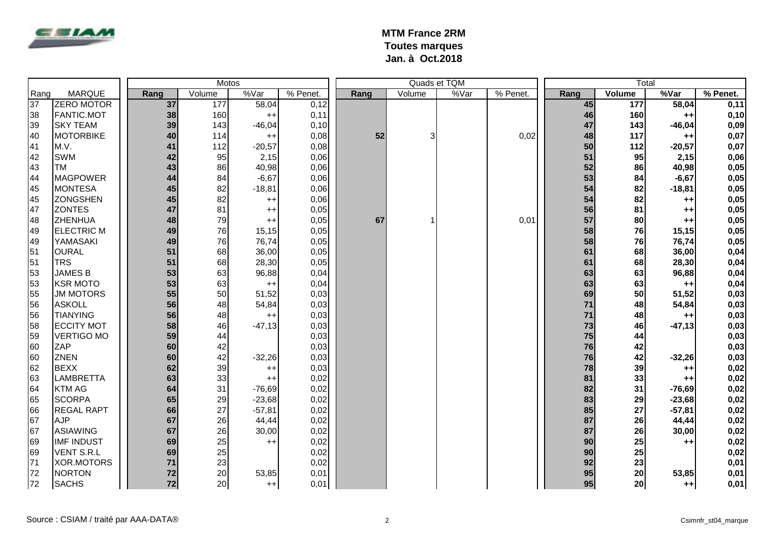

|                 |                   |      |        | Motos    |            |      |        | Total |  |          |      |    |                 |          |          |
|-----------------|-------------------|------|--------|----------|------------|------|--------|-------|--|----------|------|----|-----------------|----------|----------|
| Rang            | <b>MARQUE</b>     | Rang | Volume | %Var     | $%$ Penet. | Rang | Volume | %Var  |  | % Penet. | Rang |    | <b>Volume</b>   | %Var     | % Penet. |
| $\overline{37}$ | <b>ZERO MOTOR</b> | 37   | 177    | 58,04    | 0,12       |      |        |       |  |          |      | 45 | 177             | 58,04    | 0,11     |
| 38              | <b>FANTIC.MOT</b> | 38   | 160    | $++$     | 0,11       |      |        |       |  |          |      | 46 | 160             | $++$     | 0,10     |
| 39              | <b>SKY TEAM</b>   | 39   | 143    | $-46,04$ | 0,10       |      |        |       |  |          |      | 47 | 143             | $-46,04$ | 0,09     |
| 40              | <b>MOTORBIKE</b>  | 40   | 114    | $++$     | 0,08       | 52   | 3      |       |  | 0,02     |      | 48 | 117             | $++$     | 0,07     |
| 41              | M.V.              | 41   | 112    | $-20,57$ | 0,08       |      |        |       |  |          |      | 50 | 112             | $-20,57$ | 0,07     |
| 42              | <b>SWM</b>        | 42   | 95     | 2,15     | 0,06       |      |        |       |  |          |      | 51 | 95              | 2,15     | 0,06     |
| 43              | <b>TM</b>         | 43   | 86     | 40,98    | 0,06       |      |        |       |  |          |      | 52 | 86              | 40,98    | 0,05     |
| 44              | <b>MAGPOWER</b>   | 44   | 84     | $-6,67$  | 0,06       |      |        |       |  |          |      | 53 | 84              | $-6,67$  | 0,05     |
| 45              | <b>MONTESA</b>    | 45   | 82     | $-18,81$ | 0,06       |      |        |       |  |          |      | 54 | 82              | $-18,81$ | 0,05     |
| 45              | <b>ZONGSHEN</b>   | 45   | 82     | $^{++}$  | 0,06       |      |        |       |  |          |      | 54 | 82              | $++$     | 0,05     |
| 47              | <b>ZONTES</b>     | 47   | 81     | $^{++}$  | 0,05       |      |        |       |  |          |      | 56 | 81              | $++$     | 0,05     |
| 48              | <b>ZHENHUA</b>    | 48   | 79     | $++$     | 0,05       | 67   |        |       |  | 0,01     |      | 57 | 80              | $++$     | 0,05     |
| 49              | <b>ELECTRIC M</b> | 49   | 76     | 15,15    | 0,05       |      |        |       |  |          |      | 58 | 76              | 15,15    | 0,05     |
| 49              | YAMASAKI          | 49   | 76     | 76,74    | 0,05       |      |        |       |  |          |      | 58 | 76              | 76,74    | 0,05     |
| 51              | <b>OURAL</b>      | 51   | 68     | 36,00    | 0,05       |      |        |       |  |          |      | 61 | 68              | 36,00    | 0,04     |
| 51              | <b>TRS</b>        | 51   | 68     | 28,30    | 0,05       |      |        |       |  |          |      | 61 | 68              | 28,30    | 0,04     |
| 53              | <b>JAMES B</b>    | 53   | 63     | 96,88    | 0,04       |      |        |       |  |          |      | 63 | 63              | 96,88    | 0,04     |
| 53              | <b>KSR MOTO</b>   | 53   | 63     | $++$     | 0,04       |      |        |       |  |          |      | 63 | 63              | $++$     | 0,04     |
| 55              | <b>JM MOTORS</b>  | 55   | 50     | 51,52    | 0,03       |      |        |       |  |          |      | 69 | 50              | 51,52    | 0,03     |
| 56              | <b>ASKOLL</b>     | 56   | 48     | 54,84    | 0,03       |      |        |       |  |          |      | 71 | 48              | 54,84    | 0,03     |
| 56              | <b>TIANYING</b>   | 56   | 48     | $^{++}$  | 0,03       |      |        |       |  |          |      | 71 | 48              | $++$     | 0,03     |
| 58              | <b>ECCITY MOT</b> | 58   | 46     | $-47,13$ | 0,03       |      |        |       |  |          |      | 73 | 46              | $-47,13$ | 0,03     |
| 59              | <b>VERTIGO MO</b> | 59   | 44     |          | 0,03       |      |        |       |  |          |      | 75 | 44              |          | 0,03     |
| 60              | <b>ZAP</b>        | 60   | 42     |          | 0,03       |      |        |       |  |          |      | 76 | 42              |          | 0,03     |
| 60              | <b>ZNEN</b>       | 60   | 42     | $-32,26$ | 0,03       |      |        |       |  |          |      | 76 | 42              | $-32,26$ | 0,03     |
| 62              | <b>BEXX</b>       | 62   | 39     | $^{++}$  | 0,03       |      |        |       |  |          |      | 78 | 39              | $++$     | 0,02     |
| 63              | <b>LAMBRETTA</b>  | 63   | 33     | $++$     | 0,02       |      |        |       |  |          |      | 81 | 33              | $++$     | 0,02     |
| 64              | <b>KTM AG</b>     | 64   | 31     | $-76,69$ | 0,02       |      |        |       |  |          |      | 82 | 31              | $-76,69$ | 0,02     |
| 65              | <b>SCORPA</b>     | 65   | 29     | $-23,68$ | 0,02       |      |        |       |  |          |      | 83 | 29              | $-23,68$ | 0,02     |
| 66              | <b>REGAL RAPT</b> | 66   | 27     | $-57,81$ | 0,02       |      |        |       |  |          |      | 85 | 27              | $-57,81$ | 0,02     |
| 67              | <b>AJP</b>        | 67   | 26     | 44,44    | 0,02       |      |        |       |  |          |      | 87 | 26              | 44,44    | 0,02     |
| 67              | <b>ASIAWING</b>   | 67   | 26     | 30,00    | 0,02       |      |        |       |  |          |      | 87 | 26              | 30,00    | 0,02     |
| 69              | <b>IMF INDUST</b> | 69   | 25     | $^{++}$  | 0,02       |      |        |       |  |          |      | 90 | 25              | $++$     | 0,02     |
| 69              | <b>VENT S.R.L</b> | 69   | 25     |          | 0,02       |      |        |       |  |          |      | 90 | 25              |          | 0,02     |
| 71              | XOR.MOTORS        | 71   | 23     |          | 0,02       |      |        |       |  |          |      | 92 | 23              |          | 0,01     |
| 72              | <b>NORTON</b>     | 72   | 20     | 53,85    | 0,01       |      |        |       |  |          |      | 95 | 20              | 53,85    | 0,01     |
| 72              | <b>SACHS</b>      | 72   | 20     | $++$     | 0,01       |      |        |       |  |          |      | 95 | 20 <sub>l</sub> | $++$     | 0,01     |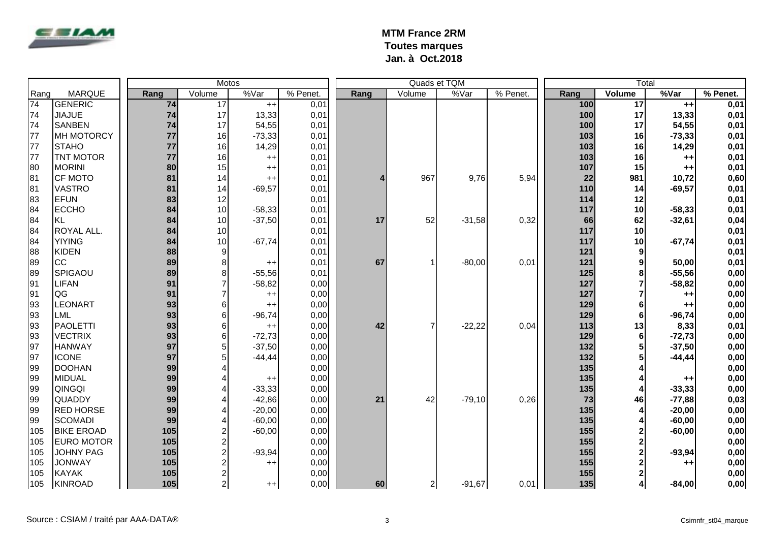

|      |                   | Motos |      |                         |          |          |      |                | Quads et TQM |          | Total |                 |                |          |  |
|------|-------------------|-------|------|-------------------------|----------|----------|------|----------------|--------------|----------|-------|-----------------|----------------|----------|--|
| Rang | <b>MARQUE</b>     |       | Rang | Volume                  | %Var     | % Penet. | Rang | Volume         | %Var         | % Penet. | Rang  | Volume          | %Var           | % Penet. |  |
| 74   | <b>GENERIC</b>    |       | 74   | $\overline{17}$         | $++$     | 0,01     |      |                |              |          | 100   | $\overline{17}$ | $++$           | 0,01     |  |
| 74   | <b>JIAJUE</b>     |       | 74   | 17                      | 13,33    | 0,01     |      |                |              |          | 100   | 17              | 13,33          | 0,01     |  |
| 74   | <b>SANBEN</b>     |       | 74   | 17                      | 54,55    | 0,01     |      |                |              |          | 100   | 17              | 54,55          | 0,01     |  |
| 77   | <b>MH MOTORCY</b> |       | 77   | 16                      | $-73,33$ | 0,01     |      |                |              |          | 103   | 16              | $-73,33$       | 0,01     |  |
| 77   | <b>STAHO</b>      |       | 77   | 16                      | 14,29    | 0,01     |      |                |              |          | 103   | 16              | 14,29          | 0,01     |  |
| 77   | <b>TNT MOTOR</b>  |       | 77   | 16                      | $++$     | 0,01     |      |                |              |          | 103   | 16              | $++$           | 0,01     |  |
| 80   | <b>MORINI</b>     |       | 80   | 15                      | $++$     | 0,01     |      |                |              |          | 107   | 15              | $++$           | 0,01     |  |
| 81   | <b>CF MOTO</b>    |       | 81   | 14                      | $++$     | 0,01     |      | 967            | 9,76         | 5,94     | 22    | 981             | 10,72          | 0,60     |  |
| 81   | <b>VASTRO</b>     |       | 81   | 14                      | $-69,57$ | 0,01     |      |                |              |          | 110   | 14              | $-69,57$       | 0,01     |  |
| 83   | <b>EFUN</b>       |       | 83   | 12                      |          | 0,01     |      |                |              |          | 114   | 12              |                | 0,01     |  |
| 84   | <b>ECCHO</b>      |       | 84   | 10                      | $-58,33$ | 0,01     |      |                |              |          | 117   | 10              | $-58,33$       | 0,01     |  |
| 84   | <b>KL</b>         |       | 84   | 10                      | $-37,50$ | 0,01     | 17   | 52             | $-31,58$     | 0,32     | 66    | 62              | $-32,61$       | 0,04     |  |
| 84   | ROYAL ALL.        |       | 84   | 10                      |          | 0,01     |      |                |              |          | 117   | 10              |                | 0,01     |  |
| 84   | <b>YIYING</b>     |       | 84   | 10                      | $-67,74$ | 0,01     |      |                |              |          | 117   | 10              | $-67,74$       | 0,01     |  |
| 88   | <b>KIDEN</b>      |       | 88   | 9                       |          | 0,01     |      |                |              |          | 121   | 9               |                | 0,01     |  |
| 89   | <b>CC</b>         |       | 89   | 8 <sup>1</sup>          | $++$     | 0,01     | 67   | 1              | $-80,00$     | 0,01     | 121   | 9               | 50,00          | 0,01     |  |
| 89   | SPIGAOU           |       | 89   | $\bf{8}$                | $-55,56$ | 0,01     |      |                |              |          | 125   | 8               | $-55,56$       | 0,00     |  |
| 91   | <b>LIFAN</b>      |       | 91   | $\overline{7}$          | $-58,82$ | 0,00     |      |                |              |          | 127   | $\overline{7}$  | $-58,82$       | 0,00     |  |
| 91   | QG                |       | 91   | $\overline{7}$          | $++$     | 0,00     |      |                |              |          | 127   |                 | $++$           | 0,00     |  |
| 93   | <b>LEONART</b>    |       | 93   | $6 \mid$                | $++$     | 0,00     |      |                |              |          | 129   | 6               | $++$           | 0,00     |  |
| 93   | <b>LML</b>        |       | 93   | $6 \mid$                | $-96,74$ | 0,00     |      |                |              |          | 129   | 6               | $-96,74$       | 0,00     |  |
| 93   | PAOLETTI          |       | 93   | $6 \mid$                | $^{++}$  | 0,00     | 42   | $\overline{7}$ | $-22,22$     | 0,04     | 113   | 13              | 8,33           | 0,01     |  |
| 93   | <b>VECTRIX</b>    |       | 93   | $6 \mid$                | $-72,73$ | 0,00     |      |                |              |          | 129   | 6               | $-72,73$       | 0,00     |  |
| 97   | <b>HANWAY</b>     |       | 97   | $5\vert$                | $-37,50$ | 0,00     |      |                |              |          | 132   | 5               | $-37,50$       | 0,00     |  |
| 97   | <b>ICONE</b>      |       | 97   | $5\vert$                | $-44,44$ | 0,00     |      |                |              |          | 132   | 5               | $-44, 44$      | 0,00     |  |
| 99   | <b>DOOHAN</b>     |       | 99   | 4                       |          | 0,00     |      |                |              |          | 135   |                 |                | 0,00     |  |
| 99   | <b>MIDUAL</b>     |       | 99   | 4                       | $++$     | 0,00     |      |                |              |          | 135   |                 | $^{\tiny{++}}$ | 0,00     |  |
| 99   | QINGQI            |       | 99   | 4                       | $-33,33$ | 0,00     |      |                |              |          | 135   | 4               | $-33,33$       | 0,00     |  |
| 99   | <b>QUADDY</b>     |       | 99   | 4                       | $-42,86$ | 0,00     | 21   | 42             | $-79,10$     | 0,26     | 73    | 46              | $-77,88$       | 0,03     |  |
| 99   | <b>RED HORSE</b>  |       | 99   | 4                       | $-20,00$ | 0,00     |      |                |              |          | 135   | 4               | $-20,00$       | 0,00     |  |
| 99   | <b>SCOMADI</b>    |       | 99   | $\overline{\mathbf{4}}$ | $-60,00$ | 0,00     |      |                |              |          | 135   | 4               | $-60,00$       | 0,00     |  |
| 105  | <b>BIKE EROAD</b> |       | 105  | $\frac{2}{2}$           | $-60,00$ | 0,00     |      |                |              |          | 155   | $\mathbf{2}$    | $-60,00$       | 0,00     |  |
| 105  | <b>EURO MOTOR</b> |       | 105  |                         |          | 0,00     |      |                |              |          | 155   | $\mathbf 2$     |                | 0,00     |  |
| 105  | <b>JOHNY PAG</b>  |       | 105  | $\overline{a}$          | $-93,94$ | 0,00     |      |                |              |          | 155   | $\overline{2}$  | $-93,94$       | 0,00     |  |
| 105  | <b>JONWAY</b>     |       | 105  | $\overline{a}$          | $++$     | 0,00     |      |                |              |          | 155   | $\mathbf 2$     | $++$           | 0,00     |  |
| 105  | <b>KAYAK</b>      |       | 105  | $\overline{c}$          |          | 0,00     |      |                |              |          | 155   | $\mathbf{2}$    |                | 0,00     |  |
| 105  | <b>KINROAD</b>    |       | 105  | $2\vert$                | $++$     | 0,00     | 60   | $2\vert$       | $-91,67$     | 0,01     | 135   | $\mathbf{4}$    | $-84,00$       | 0,00     |  |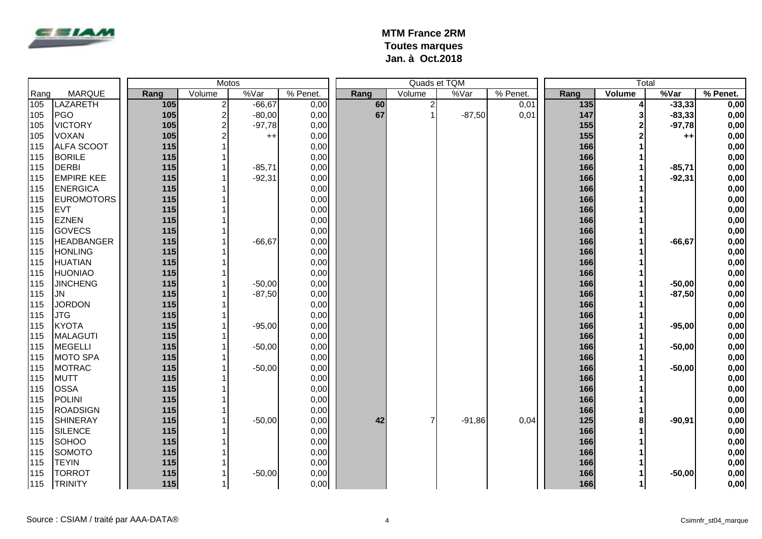

|      |                   |       |                         | Motos    |          |      |                | Quads et TQM |          | Total |               |           |          |
|------|-------------------|-------|-------------------------|----------|----------|------|----------------|--------------|----------|-------|---------------|-----------|----------|
| Rang | <b>MARQUE</b>     | Rang  | Volume                  | %Var     | % Penet. | Rang | Volume         | %Var         | % Penet. | Rang  | <b>Volume</b> | %Var      | % Penet. |
| 105  | <b>LAZARETH</b>   | 105   | $\overline{2}$          | $-66,67$ | 0,00     | 60   | $\overline{c}$ |              | 0,01     | 135   | 4             | $-33,33$  | 0,00     |
| 105  | PGO               | 105   | $\overline{\mathbf{c}}$ | $-80,00$ | 0,00     | 67   | 1              | $-87,50$     | 0,01     | 147   | 3             | $-83,33$  | 0,00     |
| 105  | <b>VICTORY</b>    | 105   | 2                       | $-97,78$ | 0,00     |      |                |              |          | 155   | $\mathbf{2}$  | $-97,78$  | 0,00     |
| 105  | <b>VOXAN</b>      | 105   |                         | $++$     | 0,00     |      |                |              |          | 155   | 2             | $++$      | 0,00     |
| 115  | <b>ALFA SCOOT</b> | 115   |                         |          | 0,00     |      |                |              |          | 166   |               |           | 0,00     |
| 115  | <b>BORILE</b>     | 115   |                         |          | 0,00     |      |                |              |          | 166   |               |           | 0,00     |
| 115  | <b>DERBI</b>      | 115   |                         | $-85,71$ | 0,00     |      |                |              |          | 166   |               | $-85,71$  | 0,00     |
| 115  | <b>EMPIRE KEE</b> | 115   |                         | $-92,31$ | 0,00     |      |                |              |          | 166   |               | $-92,31$  | 0,00     |
| 115  | <b>ENERGICA</b>   | 115   |                         |          | 0,00     |      |                |              |          | 166   |               |           | 0,00     |
| 115  | <b>EUROMOTORS</b> | 115   |                         |          | 0,00     |      |                |              |          | 166   |               |           | 0,00     |
| 115  | <b>EVT</b>        | 115   |                         |          | 0,00     |      |                |              |          | 166   |               |           | 0,00     |
| 115  | <b>EZNEN</b>      | 115   |                         |          | 0,00     |      |                |              |          | 166   |               |           | 0,00     |
| 115  | <b>GOVECS</b>     | $115$ |                         |          | 0,00     |      |                |              |          | 166   |               |           | 0,00     |
| 115  | <b>HEADBANGER</b> | 115   |                         | $-66,67$ | 0,00     |      |                |              |          | 166   |               | $-66, 67$ | 0,00     |
| 115  | <b>HONLING</b>    | 115   |                         |          | 0,00     |      |                |              |          | 166   |               |           | 0,00     |
| 115  | <b>HUATIAN</b>    | 115   |                         |          | 0,00     |      |                |              |          | 166   |               |           | 0,00     |
| 115  | <b>HUONIAO</b>    | 115   |                         |          | 0,00     |      |                |              |          | 166   |               |           | 0,00     |
| 115  | <b>JINCHENG</b>   | 115   |                         | $-50,00$ | 0,00     |      |                |              |          | 166   |               | $-50,00$  | 0,00     |
| 115  | <b>JN</b>         | 115   |                         | $-87,50$ | 0,00     |      |                |              |          | 166   |               | $-87,50$  | 0,00     |
| 115  | <b>JORDON</b>     | 115   |                         |          | 0,00     |      |                |              |          | 166   |               |           | 0,00     |
| 115  | <b>JTG</b>        | 115   |                         |          | 0,00     |      |                |              |          | 166   |               |           | 0,00     |
| 115  | <b>KYOTA</b>      | 115   |                         | $-95,00$ | 0,00     |      |                |              |          | 166   |               | $-95,00$  | 0,00     |
| 115  | <b>MALAGUTI</b>   | 115   |                         |          | 0,00     |      |                |              |          | 166   |               |           | 0,00     |
| 115  | <b>MEGELLI</b>    | $115$ |                         | $-50,00$ | 0,00     |      |                |              |          | 166   |               | $-50,00$  | 0,00     |
| 115  | <b>MOTO SPA</b>   | 115   |                         |          | 0,00     |      |                |              |          | 166   |               |           | 0,00     |
| 115  | <b>MOTRAC</b>     | 115   |                         | $-50,00$ | 0,00     |      |                |              |          | 166   |               | $-50,00$  | 0,00     |
| 115  | <b>MUTT</b>       | 115   |                         |          | 0,00     |      |                |              |          | 166   |               |           | 0,00     |
| 115  | <b>OSSA</b>       | 115   |                         |          | 0,00     |      |                |              |          | 166   |               |           | 0,00     |
| 115  | <b>POLINI</b>     | 115   |                         |          | 0,00     |      |                |              |          | 166   |               |           | 0,00     |
| 115  | <b>ROADSIGN</b>   | 115   |                         |          | 0,00     |      |                |              |          | 166   |               |           | 0,00     |
| 115  | <b>SHINERAY</b>   | 115   |                         | $-50,00$ | 0,00     | 42   | 7              | $-91,86$     | 0,04     | 125   | 8             | $-90,91$  | 0,00     |
| 115  | <b>SILENCE</b>    | 115   |                         |          | 0,00     |      |                |              |          | 166   |               |           | 0,00     |
| 115  | SOHOO             | 115   |                         |          | 0,00     |      |                |              |          | 166   |               |           | 0,00     |
| 115  | <b>SOMOTO</b>     | 115   |                         |          | 0,00     |      |                |              |          | 166   |               |           | 0,00     |
| 115  | <b>TEYIN</b>      | 115   |                         |          | 0,00     |      |                |              |          | 166   |               |           | 0,00     |
| 115  | <b>TORROT</b>     | $115$ |                         | $-50,00$ | 0,00     |      |                |              |          | 166   |               | $-50,00$  | 0,00     |
| 115  | <b>TRINITY</b>    | 115   | <u> 11</u>              |          | 0,00     |      |                |              |          | 166   | $\mathbf{1}$  |           | 0,00     |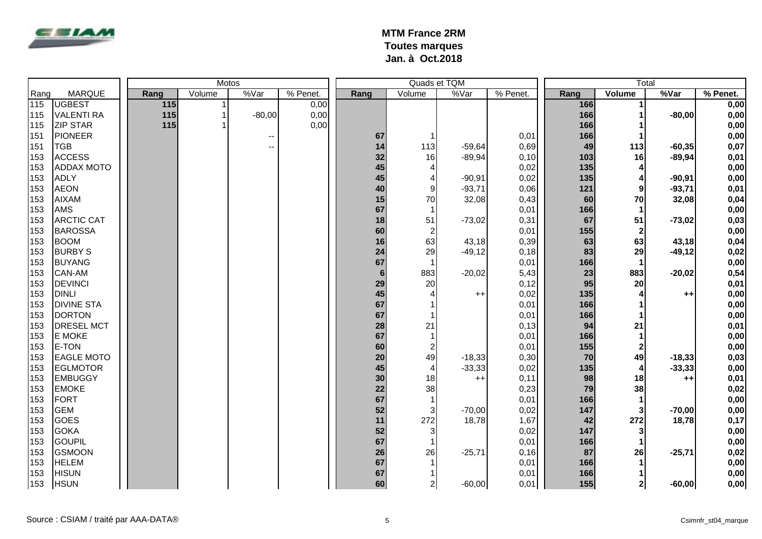

|      |                   | Motos |       |        |              |          |                 |                  | Quads et TQM |          | Total |                |          |          |
|------|-------------------|-------|-------|--------|--------------|----------|-----------------|------------------|--------------|----------|-------|----------------|----------|----------|
| Rang | <b>MARQUE</b>     |       | Rang  | Volume | %Var         | % Penet. | Rang            | Volume           | %Var         | % Penet. | Rang  | Volume         | %Var     | % Penet. |
| 115  | <b>UGBEST</b>     |       | $115$ |        |              | 0,00     |                 |                  |              |          | 166   | 1              |          | 0,00     |
| 115  | <b>VALENTI RA</b> |       | 115   |        | $-80,00$     | 0,00     |                 |                  |              |          | 166   |                | $-80,00$ | 0,00     |
| 115  | <b>ZIP STAR</b>   |       | 115   |        |              | 0,00     |                 |                  |              |          | 166   |                |          | 0,00     |
| 151  | <b>PIONEER</b>    |       |       |        | $\mathbf{u}$ |          | 67              |                  |              | 0,01     | 166   |                |          | 0,00     |
| 151  | <b>TGB</b>        |       |       |        | $-$          |          | 14              | 113              | $-59,64$     | 0,69     | 49    | 113            | $-60,35$ | 0,07     |
| 153  | <b>ACCESS</b>     |       |       |        |              |          | 32              | 16               | $-89,94$     | 0,10     | 103   | 16             | $-89,94$ | 0,01     |
| 153  | <b>ADDAX MOTO</b> |       |       |        |              |          | 45              | $\overline{4}$   |              | 0,02     | 135   | 4              |          | 0,00     |
| 153  | <b>ADLY</b>       |       |       |        |              |          | 45              | 4                | $-90,91$     | 0,02     | 135   | 4              | $-90,91$ | 0,00     |
| 153  | <b>AEON</b>       |       |       |        |              |          | 40              | 9                | $-93,71$     | 0,06     | 121   | 9              | $-93,71$ | 0,01     |
| 153  | <b>AIXAM</b>      |       |       |        |              |          | 15              | 70               | 32,08        | 0,43     | 60    | 70             | 32,08    | 0,04     |
| 153  | <b>AMS</b>        |       |       |        |              |          | 67              |                  |              | 0,01     | 166   | $\mathbf 1$    |          | 0,00     |
| 153  | <b>ARCTIC CAT</b> |       |       |        |              |          | 18              | 51               | $-73,02$     | 0,31     | 67    | 51             | $-73,02$ | 0,03     |
| 153  | <b>BAROSSA</b>    |       |       |        |              |          | 60              | $\overline{c}$   |              | 0,01     | 155   | $\mathbf{2}$   |          | 0,00     |
| 153  | <b>BOOM</b>       |       |       |        |              |          | 16              | 63               | 43,18        | 0,39     | 63    | 63             | 43,18    | 0,04     |
| 153  | <b>BURBY S</b>    |       |       |        |              |          | 24              | 29               | $-49,12$     | 0,18     | 83    | 29             | $-49,12$ | 0,02     |
| 153  | <b>BUYANG</b>     |       |       |        |              |          | 67              |                  |              | 0,01     | 166   |                |          | 0,00     |
| 153  | <b>CAN-AM</b>     |       |       |        |              |          | $6\phantom{1}6$ | 883              | $-20,02$     | 5,43     | 23    | 883            | $-20,02$ | 0,54     |
| 153  | <b>DEVINCI</b>    |       |       |        |              |          | 29              | 20               |              | 0,12     | 95    | 20             |          | 0,01     |
| 153  | <b>DINLI</b>      |       |       |        |              |          | 45              | $\overline{4}$   | $^{++}$      | 0,02     | 135   |                | $++$     | 0,00     |
| 153  | <b>DIVINE STA</b> |       |       |        |              |          | 67              |                  |              | 0,01     | 166   |                |          | 0,00     |
| 153  | <b>DORTON</b>     |       |       |        |              |          | 67              |                  |              | 0,01     | 166   |                |          | 0,00     |
| 153  | <b>DRESEL MCT</b> |       |       |        |              |          | 28              | 21               |              | 0,13     | 94    | 21             |          | 0,01     |
| 153  | <b>E MOKE</b>     |       |       |        |              |          | 67              |                  |              | 0,01     | 166   | 1              |          | 0,00     |
| 153  | E-TON             |       |       |        |              |          | 60              | $\boldsymbol{2}$ |              | 0,01     | 155   | $\mathbf{2}$   |          | 0,00     |
| 153  | <b>EAGLE MOTO</b> |       |       |        |              |          | 20              | 49               | $-18,33$     | 0,30     | 70    | 49             | $-18,33$ | 0,03     |
| 153  | <b>EGLMOTOR</b>   |       |       |        |              |          | 45              | $\overline{4}$   | $-33,33$     | 0,02     | 135   | 4              | $-33,33$ | 0,00     |
| 153  | <b>EMBUGGY</b>    |       |       |        |              |          | 30              | 18               | $++$         | 0,11     | 98    | 18             | $++$     | 0,01     |
| 153  | <b>EMOKE</b>      |       |       |        |              |          | 22              | 38               |              | 0,23     | 79    | 38             |          | 0,02     |
| 153  | FORT              |       |       |        |              |          | 67              |                  |              | 0,01     | 166   |                |          | 0,00     |
| 153  | <b>GEM</b>        |       |       |        |              |          | 52              | 3                | $-70,00$     | 0,02     | 147   | $\mathbf{3}$   | $-70,00$ | 0,00     |
| 153  | <b>GOES</b>       |       |       |        |              |          | 11              | 272              | 18,78        | 1,67     | 42    | 272            | 18,78    | 0,17     |
| 153  | <b>GOKA</b>       |       |       |        |              |          | 52              | 3                |              | 0,02     | 147   | 3              |          | 0,00     |
| 153  | <b>GOUPIL</b>     |       |       |        |              |          | 67              |                  |              | 0,01     | 166   | $\mathbf 1$    |          | 0,00     |
| 153  | <b>GSMOON</b>     |       |       |        |              |          | 26              | 26               | $-25,71$     | 0, 16    | 87    | 26             | $-25,71$ | 0,02     |
| 153  | <b>HELEM</b>      |       |       |        |              |          | 67              |                  |              | 0,01     | 166   |                |          | 0,00     |
| 153  | <b>HISUN</b>      |       |       |        |              |          | 67              |                  |              | 0,01     | 166   |                |          | 0,00     |
| 153  | <b>HSUN</b>       |       |       |        |              |          | 60              | $\mathbf{2}$     | $-60,00$     | 0,01     | 155   | 2 <sub>l</sub> | $-60,00$ | 0,00     |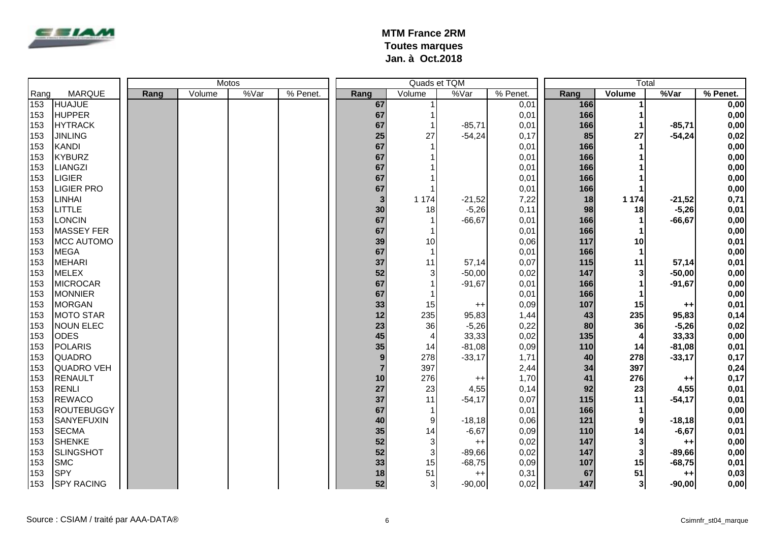

|      |                   | Motos |      |        |      |          |                |                | Quads et TQM |          | Total |                         |                |          |
|------|-------------------|-------|------|--------|------|----------|----------------|----------------|--------------|----------|-------|-------------------------|----------------|----------|
| Rang | <b>MARQUE</b>     |       | Rang | Volume | %Var | % Penet. | Rang           | Volume         | %Var         | % Penet. | Rang  | Volume                  | %Var           | % Penet. |
| 153  | <b>HUAJUE</b>     |       |      |        |      |          | 67             |                |              | 0,01     | 166   | 1                       |                | 0,00     |
| 153  | <b>HUPPER</b>     |       |      |        |      |          | 67             |                |              | 0,01     | 166   |                         |                | 0,00     |
| 153  | <b>HYTRACK</b>    |       |      |        |      |          | 67             |                | $-85,71$     | 0,01     | 166   |                         | $-85,71$       | 0,00     |
| 153  | <b>JINLING</b>    |       |      |        |      |          | 25             | 27             | $-54,24$     | 0,17     | 85    | 27                      | $-54,24$       | 0,02     |
| 153  | <b>KANDI</b>      |       |      |        |      |          | 67             |                |              | 0,01     | 166   |                         |                | 0,00     |
| 153  | <b>KYBURZ</b>     |       |      |        |      |          | 67             |                |              | 0,01     | 166   |                         |                | 0,00     |
| 153  | <b>LIANGZI</b>    |       |      |        |      |          | 67             |                |              | 0,01     | 166   |                         |                | 0,00     |
| 153  | <b>LIGIER</b>     |       |      |        |      |          | 67             |                |              | 0,01     | 166   |                         |                | 0,00     |
| 153  | <b>LIGIER PRO</b> |       |      |        |      |          | 67             |                |              | 0,01     | 166   |                         |                | 0,00     |
| 153  | <b>LINHAI</b>     |       |      |        |      |          | 3              | 1 1 7 4        | $-21,52$     | 7,22     | 18    | 1 1 7 4                 | $-21,52$       | 0,71     |
| 153  | <b>LITTLE</b>     |       |      |        |      |          | 30             | 18             | $-5,26$      | 0,11     | 98    | 18                      | $-5,26$        | 0,01     |
| 153  | <b>LONCIN</b>     |       |      |        |      |          | 67             |                | $-66,67$     | 0,01     | 166   |                         | $-66, 67$      | 0,00     |
| 153  | <b>MASSEY FER</b> |       |      |        |      |          | 67             |                |              | 0,01     | 166   |                         |                | 0,00     |
| 153  | MCC AUTOMO        |       |      |        |      |          | 39             | 10             |              | 0,06     | 117   | 10                      |                | 0,01     |
| 153  | <b>MEGA</b>       |       |      |        |      |          | 67             |                |              | 0,01     | 166   |                         |                | 0,00     |
| 153  | <b>MEHARI</b>     |       |      |        |      |          | 37             | 11             | 57,14        | 0,07     | 115   | 11                      | 57,14          | 0,01     |
| 153  | <b>MELEX</b>      |       |      |        |      |          | 52             | 3              | $-50,00$     | 0,02     | 147   | 3                       | $-50,00$       | 0,00     |
| 153  | <b>MICROCAR</b>   |       |      |        |      |          | 67             |                | $-91,67$     | 0,01     | 166   |                         | $-91,67$       | 0,00     |
| 153  | <b>MONNIER</b>    |       |      |        |      |          | 67             |                |              | 0,01     | 166   |                         |                | 0,00     |
| 153  | <b>MORGAN</b>     |       |      |        |      |          | 33             | 15             | $++$         | 0,09     | 107   | 15                      | $^{\tiny{++}}$ | 0,01     |
| 153  | <b>MOTO STAR</b>  |       |      |        |      |          | 12             | 235            | 95,83        | 1,44     | 43    | 235                     | 95,83          | 0,14     |
| 153  | <b>NOUN ELEC</b>  |       |      |        |      |          | 23             | 36             | $-5,26$      | 0,22     | 80    | 36                      | $-5,26$        | 0,02     |
| 153  | <b>ODES</b>       |       |      |        |      |          | 45             | $\overline{4}$ | 33,33        | 0,02     | 135   | $\overline{\mathbf{4}}$ | 33,33          | 0,00     |
| 153  | <b>POLARIS</b>    |       |      |        |      |          | 35             | 14             | $-81,08$     | 0,09     | 110   | 14                      | $-81,08$       | 0,01     |
| 153  | <b>QUADRO</b>     |       |      |        |      |          | 9              | 278            | $-33,17$     | 1,71     | 40    | 278                     | $-33,17$       | 0,17     |
| 153  | <b>QUADRO VEH</b> |       |      |        |      |          | $\overline{7}$ | 397            |              | 2,44     | 34    | 397                     |                | 0,24     |
| 153  | <b>RENAULT</b>    |       |      |        |      |          | 10             | 276            | $++$         | 1,70     | 41    | 276                     | $^{++}$        | 0,17     |
| 153  | <b>RENLI</b>      |       |      |        |      |          | 27             | 23             | 4,55         | 0,14     | 92    | 23                      | 4,55           | 0,01     |
| 153  | <b>REWACO</b>     |       |      |        |      |          | 37             | 11             | $-54,17$     | 0,07     | 115   | 11                      | $-54,17$       | 0,01     |
| 153  | <b>ROUTEBUGGY</b> |       |      |        |      |          | 67             |                |              | 0,01     | 166   | $\mathbf 1$             |                | 0,00     |
| 153  | <b>SANYEFUXIN</b> |       |      |        |      |          | 40             | 9              | $-18,18$     | 0,06     | 121   | 9                       | $-18,18$       | 0,01     |
| 153  | <b>SECMA</b>      |       |      |        |      |          | 35             | 14             | $-6,67$      | 0,09     | 110   | 14                      | $-6,67$        | 0,01     |
| 153  | <b>SHENKE</b>     |       |      |        |      |          | 52             | 3              | $++$         | 0,02     | 147   | $\mathbf{3}$            | $++$           | 0,00     |
| 153  | <b>SLINGSHOT</b>  |       |      |        |      |          | 52             | $\mathbf{3}$   | $-89,66$     | 0,02     | 147   | $\mathbf{3}$            | $-89,66$       | 0,00     |
| 153  | <b>SMC</b>        |       |      |        |      |          | 33             | 15             | $-68,75$     | 0,09     | 107   | 15                      | $-68,75$       | 0,01     |
| 153  | <b>SPY</b>        |       |      |        |      |          | 18             | 51             | $++$         | 0,31     | 67    | 51                      | $++$           | 0,03     |
| 153  | <b>SPY RACING</b> |       |      |        |      |          | 52             | $\overline{3}$ | $-90,00$     | 0,02     | 147   | 3 <sup>l</sup>          | $-90,00$       | 0,00     |